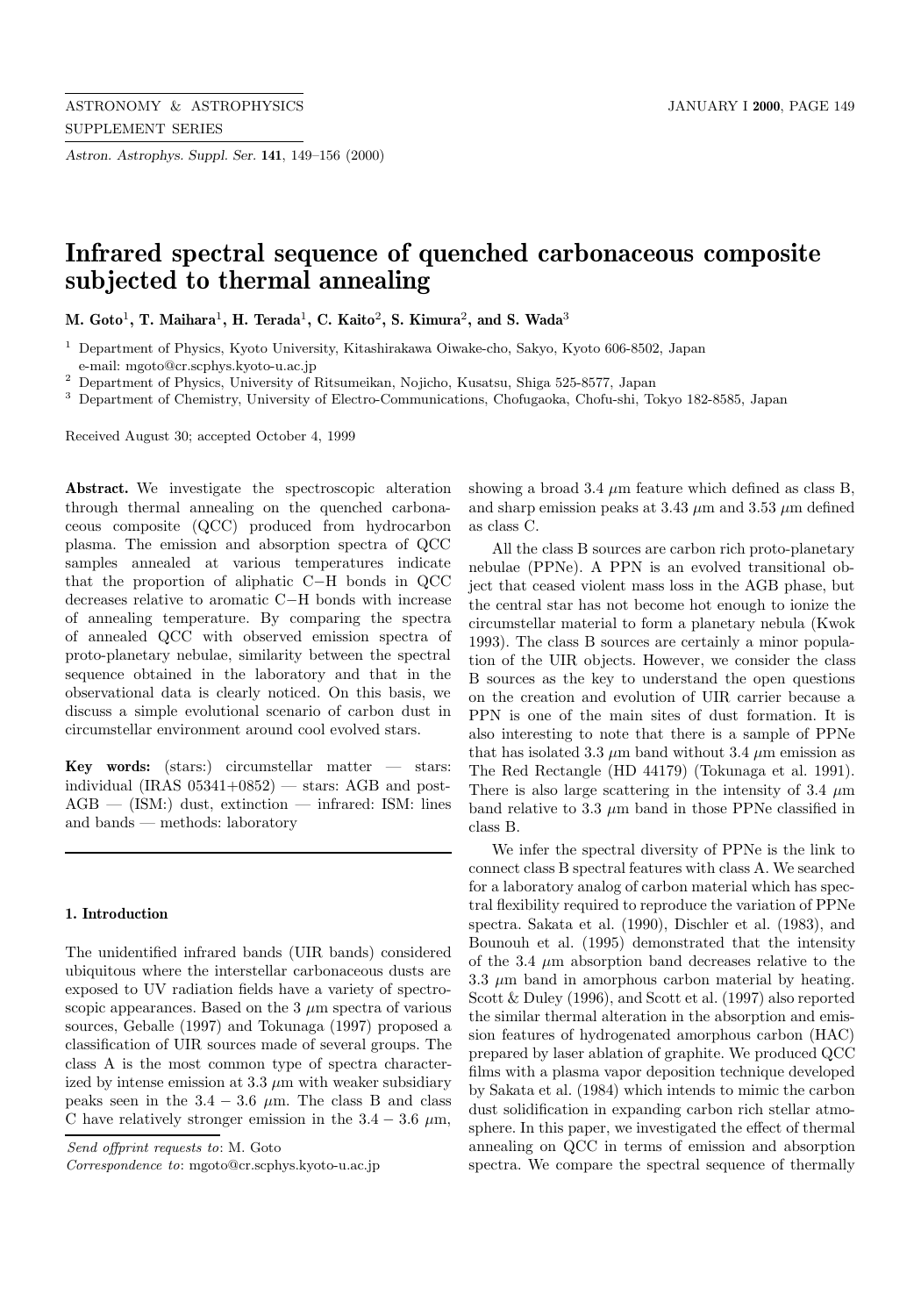*Astron. Astrophys. Suppl. Ser.* **141**, 149–156 (2000)

# **Infrared spectral sequence of quenched carbonaceous composite subjected to thermal annealing**

**M. Goto**<sup>1</sup>**, T. Maihara**<sup>1</sup>**, H. Terada**<sup>1</sup>**, C. Kaito**<sup>2</sup>**, S. Kimura**<sup>2</sup>**, and S. Wada**<sup>3</sup>

<sup>2</sup> Department of Physics, University of Ritsumeikan, Nojicho, Kusatsu, Shiga 525-8577, Japan

<sup>3</sup> Department of Chemistry, University of Electro-Communications, Chofugaoka, Chofu-shi, Tokyo 182-8585, Japan

Received August 30; accepted October 4, 1999

**Abstract.** We investigate the spectroscopic alteration through thermal annealing on the quenched carbonaceous composite (QCC) produced from hydrocarbon plasma. The emission and absorption spectra of QCC samples annealed at various temperatures indicate that the proportion of aliphatic C−H bonds in QCC decreases relative to aromatic C−H bonds with increase of annealing temperature. By comparing the spectra of annealed QCC with observed emission spectra of proto-planetary nebulae, similarity between the spectral sequence obtained in the laboratory and that in the observational data is clearly noticed. On this basis, we discuss a simple evolutional scenario of carbon dust in circumstellar environment around cool evolved stars.

**Key words:** (stars:) circumstellar matter — stars: individual (IRAS  $05341+0852$ ) — stars: AGB and post- $AGB$  — (ISM:) dust, extinction — infrared: ISM: lines and bands — methods: laboratory

## **1. Introduction**

The unidentified infrared bands (UIR bands) considered ubiquitous where the interstellar carbonaceous dusts are exposed to UV radiation fields have a variety of spectroscopic appearances. Based on the  $3 \mu m$  spectra of various sources, Geballe (1997) and Tokunaga (1997) proposed a classification of UIR sources made of several groups. The class A is the most common type of spectra characterized by intense emission at  $3.3 \mu$ m with weaker subsidiary peaks seen in the  $3.4 - 3.6 \mu m$ . The class B and class C have relatively stronger emission in the  $3.4 - 3.6 \mu m$ ,

Send offprint requests to: M. Goto

Correspondence to: mgoto@cr.scphys.kyoto-u.ac.jp

showing a broad 3.4  $\mu$ m feature which defined as class B, and sharp emission peaks at 3.43  $\mu$ m and 3.53  $\mu$ m defined as class C.

All the class B sources are carbon rich proto-planetary nebulae (PPNe). A PPN is an evolved transitional object that ceased violent mass loss in the AGB phase, but the central star has not become hot enough to ionize the circumstellar material to form a planetary nebula (Kwok 1993). The class B sources are certainly a minor population of the UIR objects. However, we consider the class B sources as the key to understand the open questions on the creation and evolution of UIR carrier because a PPN is one of the main sites of dust formation. It is also interesting to note that there is a sample of PPNe that has isolated 3.3  $\mu$ m band without 3.4  $\mu$ m emission as The Red Rectangle (HD 44179) (Tokunaga et al. 1991). There is also large scattering in the intensity of 3.4  $\mu$ m band relative to 3.3  $\mu$ m band in those PPNe classified in class B.

We infer the spectral diversity of PPNe is the link to connect class B spectral features with class A. We searched for a laboratory analog of carbon material which has spectral flexibility required to reproduce the variation of PPNe spectra. Sakata et al. (1990), Dischler et al. (1983), and Bounouh et al. (1995) demonstrated that the intensity of the 3.4  $\mu$ m absorption band decreases relative to the 3.3  $\mu$ m band in amorphous carbon material by heating. Scott & Duley (1996), and Scott et al. (1997) also reported the similar thermal alteration in the absorption and emission features of hydrogenated amorphous carbon (HAC) prepared by laser ablation of graphite. We produced QCC films with a plasma vapor deposition technique developed by Sakata et al. (1984) which intends to mimic the carbon dust solidification in expanding carbon rich stellar atmosphere. In this paper, we investigated the effect of thermal annealing on QCC in terms of emission and absorption spectra. We compare the spectral sequence of thermally

<sup>1</sup> Department of Physics, Kyoto University, Kitashirakawa Oiwake-cho, Sakyo, Kyoto 606-8502, Japan e-mail: mgoto@cr.scphys.kyoto-u.ac.jp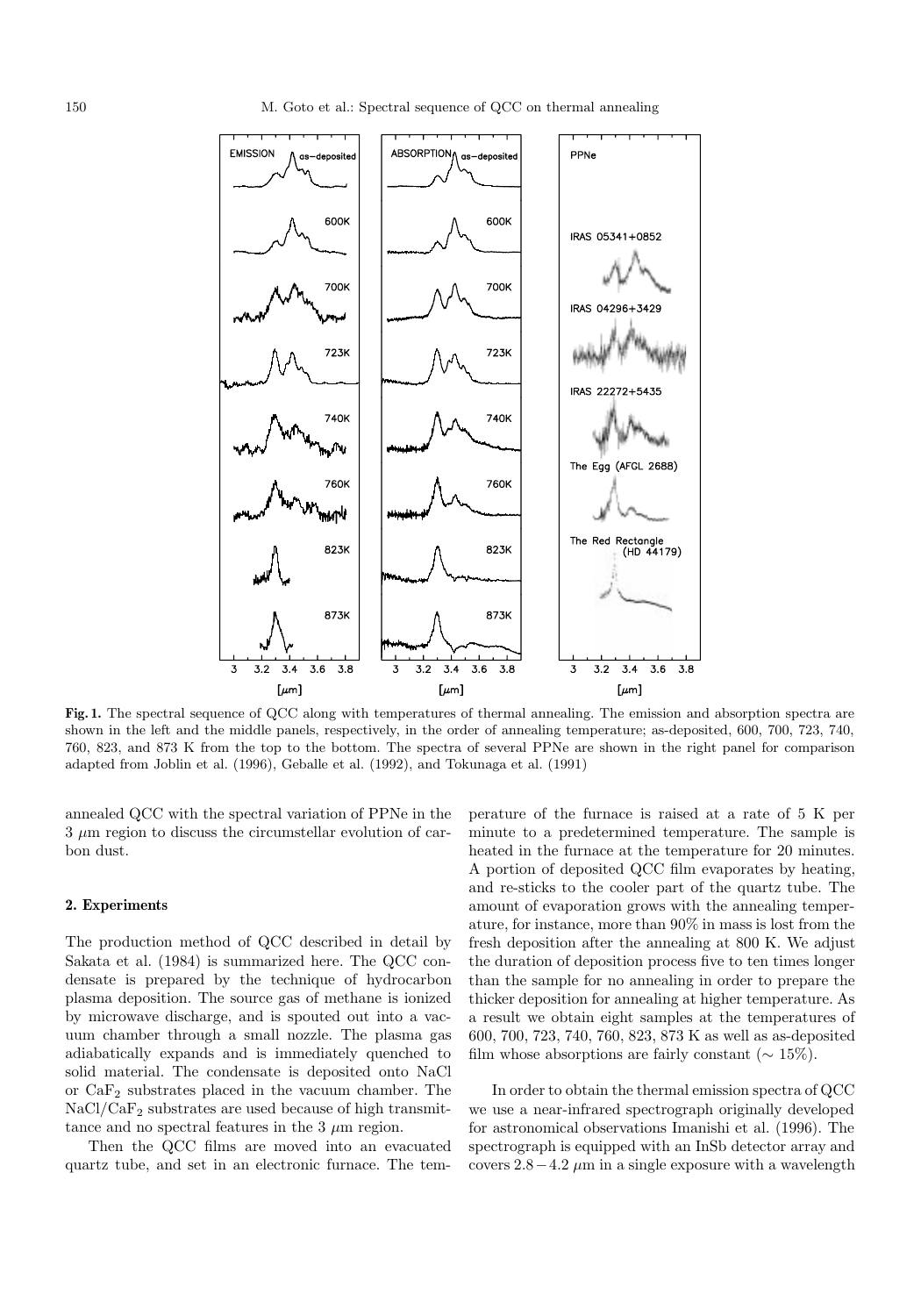

**Fig. 1.** The spectral sequence of QCC along with temperatures of thermal annealing. The emission and absorption spectra are shown in the left and the middle panels, respectively, in the order of annealing temperature; as-deposited, 600, 700, 723, 740, 760, 823, and 873 K from the top to the bottom. The spectra of several PPNe are shown in the right panel for comparison adapted from Joblin et al. (1996), Geballe et al. (1992), and Tokunaga et al. (1991)

annealed QCC with the spectral variation of PPNe in the  $3 \mu$ m region to discuss the circumstellar evolution of carbon dust.

# **2. Experiments**

The production method of QCC described in detail by Sakata et al. (1984) is summarized here. The QCC condensate is prepared by the technique of hydrocarbon plasma deposition. The source gas of methane is ionized by microwave discharge, and is spouted out into a vacuum chamber through a small nozzle. The plasma gas adiabatically expands and is immediately quenched to solid material. The condensate is deposited onto NaCl or CaF<sup>2</sup> substrates placed in the vacuum chamber. The  $NaCl/CaF<sub>2</sub>$  substrates are used because of high transmittance and no spectral features in the  $3 \mu m$  region.

Then the QCC films are moved into an evacuated quartz tube, and set in an electronic furnace. The temperature of the furnace is raised at a rate of 5 K per minute to a predetermined temperature. The sample is heated in the furnace at the temperature for 20 minutes. A portion of deposited QCC film evaporates by heating, and re-sticks to the cooler part of the quartz tube. The amount of evaporation grows with the annealing temperature, for instance, more than 90% in mass is lost from the fresh deposition after the annealing at 800 K. We adjust the duration of deposition process five to ten times longer than the sample for no annealing in order to prepare the thicker deposition for annealing at higher temperature. As a result we obtain eight samples at the temperatures of 600, 700, 723, 740, 760, 823, 873 K as well as as-deposited film whose absorptions are fairly constant ( $\sim 15\%$ ).

In order to obtain the thermal emission spectra of QCC we use a near-infrared spectrograph originally developed for astronomical observations Imanishi et al. (1996). The spectrograph is equipped with an InSb detector array and covers  $2.8-4.2 \mu m$  in a single exposure with a wavelength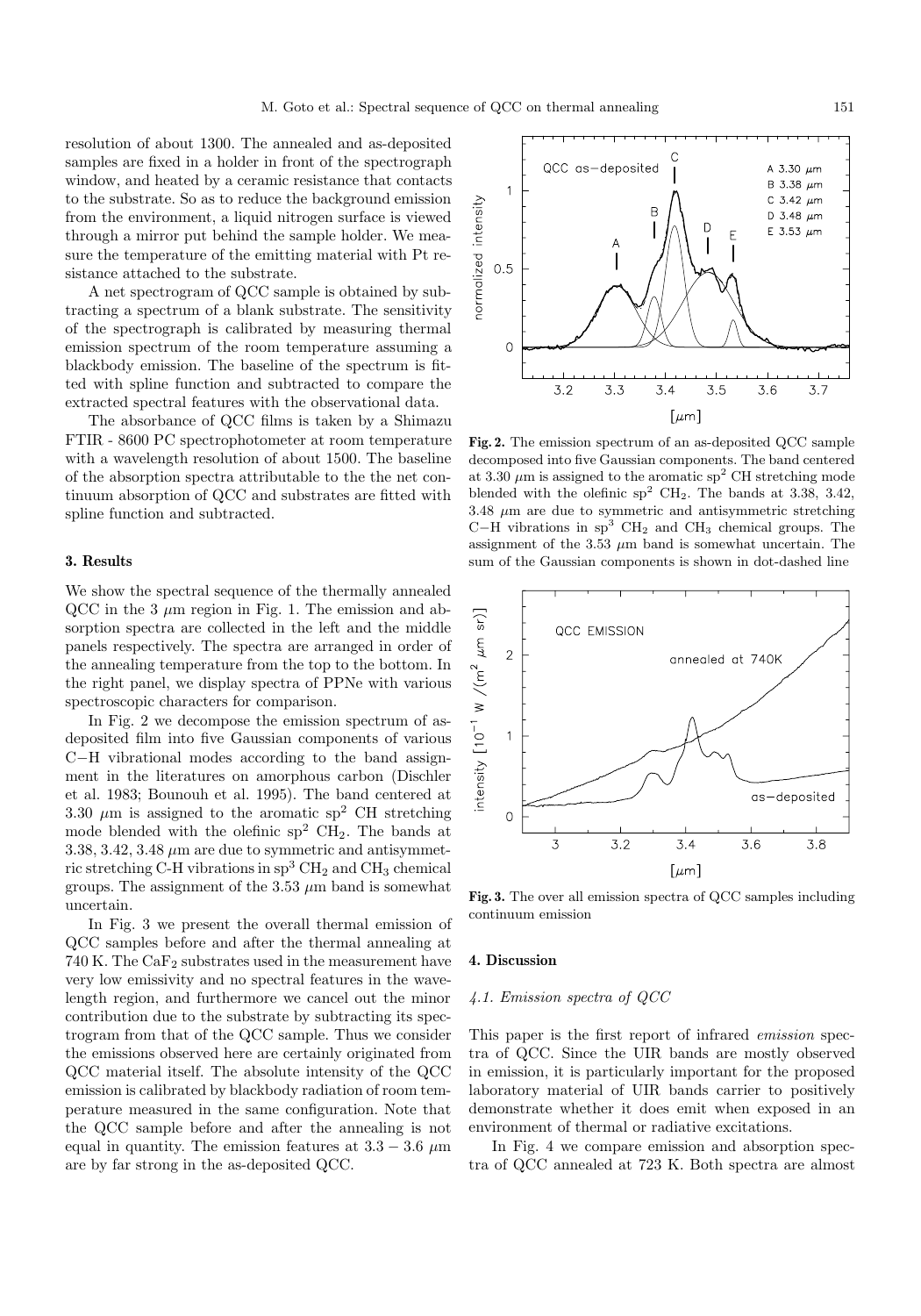resolution of about 1300. The annealed and as-deposited samples are fixed in a holder in front of the spectrograph window, and heated by a ceramic resistance that contacts to the substrate. So as to reduce the background emission from the environment, a liquid nitrogen surface is viewed through a mirror put behind the sample holder. We measure the temperature of the emitting material with Pt resistance attached to the substrate.

A net spectrogram of QCC sample is obtained by subtracting a spectrum of a blank substrate. The sensitivity of the spectrograph is calibrated by measuring thermal emission spectrum of the room temperature assuming a blackbody emission. The baseline of the spectrum is fitted with spline function and subtracted to compare the extracted spectral features with the observational data.

The absorbance of QCC films is taken by a Shimazu FTIR - 8600 PC spectrophotometer at room temperature with a wavelength resolution of about 1500. The baseline of the absorption spectra attributable to the the net continuum absorption of QCC and substrates are fitted with spline function and subtracted.

#### **3. Results**

We show the spectral sequence of the thermally annealed QCC in the 3  $\mu$ m region in Fig. 1. The emission and absorption spectra are collected in the left and the middle panels respectively. The spectra are arranged in order of the annealing temperature from the top to the bottom. In the right panel, we display spectra of PPNe with various spectroscopic characters for comparison.

In Fig. 2 we decompose the emission spectrum of asdeposited film into five Gaussian components of various C−H vibrational modes according to the band assignment in the literatures on amorphous carbon (Dischler et al. 1983; Bounouh et al. 1995). The band centered at 3.30  $\mu$ m is assigned to the aromatic sp<sup>2</sup> CH stretching mode blended with the olefinic  $sp^2$  CH<sub>2</sub>. The bands at 3.38, 3.42, 3.48  $\mu$ m are due to symmetric and antisymmetric stretching C-H vibrations in  $sp^3$  CH<sub>2</sub> and CH<sub>3</sub> chemical groups. The assignment of the 3.53  $\mu$ m band is somewhat uncertain.

In Fig. 3 we present the overall thermal emission of QCC samples before and after the thermal annealing at 740 K. The  $CaF<sub>2</sub>$  substrates used in the measurement have very low emissivity and no spectral features in the wavelength region, and furthermore we cancel out the minor contribution due to the substrate by subtracting its spectrogram from that of the QCC sample. Thus we consider the emissions observed here are certainly originated from QCC material itself. The absolute intensity of the QCC emission is calibrated by blackbody radiation of room temperature measured in the same configuration. Note that the QCC sample before and after the annealing is not equal in quantity. The emission features at  $3.3 - 3.6 \mu m$ are by far strong in the as-deposited QCC.

QCC as-deposited A 3.30  $\mu$ m B 3.38  $\mu$ m  $\overline{1}$ normalized intensity C 3.42  $\mu$ m  $\overline{B}$ D 3.48  $\mu$ m E 3.53  $\mu$ m  $0.5$  $\circ$  $3.2$  $3.3$  $3.4$  $3.5$  $3.6$  $3.7$  $\lceil \mu m \rceil$ 

**Fig. 2.** The emission spectrum of an as-deposited QCC sample decomposed into five Gaussian components. The band centered at 3.30  $\mu$ m is assigned to the aromatic sp<sup>2</sup> CH stretching mode blended with the olefinic  $sp^2$  CH<sub>2</sub>. The bands at 3.38, 3.42,  $3.48 \mu m$  are due to symmetric and antisymmetric stretching C−H vibrations in  $sp^3$  CH<sub>2</sub> and CH<sub>3</sub> chemical groups. The assignment of the 3.53  $\mu$ m band is somewhat uncertain. The sum of the Gaussian components is shown in dot-dashed line

annealed at 740K

QCC EMISSION

intensity  $[10^{-1}$  W /(m<sup>2</sup> as-deposited  $\circ$ 3  $3.2$  $3.4$ 3.6  $3.8$  $[\mu m]$ 

**Fig. 3.** The over all emission spectra of QCC samples including continuum emission

### **4. Discussion**

 $sr$ ]

 $\mu$ m  $\overline{2}$ 

 $\mathbf{1}$ 

# 4.1. Emission spectra of QCC

This paper is the first report of infrared emission spectra of QCC. Since the UIR bands are mostly observed in emission, it is particularly important for the proposed laboratory material of UIR bands carrier to positively demonstrate whether it does emit when exposed in an environment of thermal or radiative excitations.

In Fig. 4 we compare emission and absorption spectra of QCC annealed at 723 K. Both spectra are almost

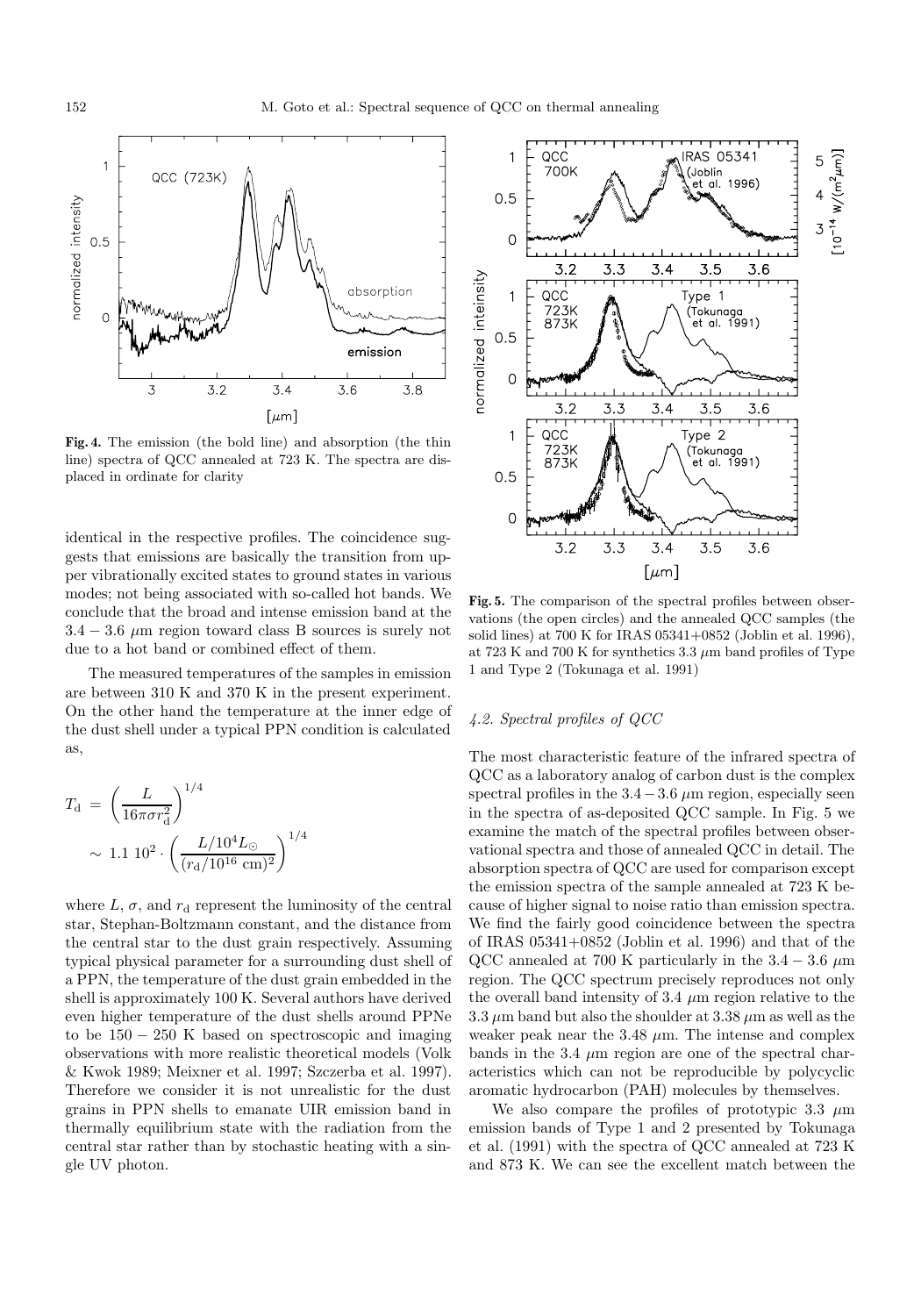

**Fig. 4.** The emission (the bold line) and absorption (the thin line) spectra of QCC annealed at 723 K. The spectra are displaced in ordinate for clarity

identical in the respective profiles. The coincidence suggests that emissions are basically the transition from upper vibrationally excited states to ground states in various modes; not being associated with so-called hot bands. We conclude that the broad and intense emission band at the  $3.4 - 3.6 \mu m$  region toward class B sources is surely not due to a hot band or combined effect of them.

The measured temperatures of the samples in emission are between 310 K and 370 K in the present experiment. On the other hand the temperature at the inner edge of the dust shell under a typical PPN condition is calculated as,

$$
T_{\rm d} = \left(\frac{L}{16\pi\sigma r_{\rm d}^2}\right)^{1/4}
$$

$$
\sim 1.1 \ 10^2 \cdot \left(\frac{L/10^4 L_{\odot}}{(r_{\rm d}/10^{16} \text{ cm})^2}\right)^{1/4}
$$

where  $L, \sigma$ , and  $r_d$  represent the luminosity of the central star, Stephan-Boltzmann constant, and the distance from the central star to the dust grain respectively. Assuming typical physical parameter for a surrounding dust shell of a PPN, the temperature of the dust grain embedded in the shell is approximately 100 K. Several authors have derived even higher temperature of the dust shells around PPNe to be  $150 - 250$  K based on spectroscopic and imaging observations with more realistic theoretical models (Volk & Kwok 1989; Meixner et al. 1997; Szczerba et al. 1997). Therefore we consider it is not unrealistic for the dust grains in PPN shells to emanate UIR emission band in thermally equilibrium state with the radiation from the central star rather than by stochastic heating with a single UV photon.



**Fig. 5.** The comparison of the spectral profiles between observations (the open circles) and the annealed QCC samples (the solid lines) at 700 K for IRAS 05341+0852 (Joblin et al. 1996), at 723 K and 700 K for synthetics  $3.3 \mu$ m band profiles of Type 1 and Type 2 (Tokunaga et al. 1991)

# 4.2. Spectral profiles of QCC

The most characteristic feature of the infrared spectra of QCC as a laboratory analog of carbon dust is the complex spectral profiles in the  $3.4-3.6 \mu m$  region, especially seen in the spectra of as-deposited QCC sample. In Fig. 5 we examine the match of the spectral profiles between observational spectra and those of annealed QCC in detail. The absorption spectra of QCC are used for comparison except the emission spectra of the sample annealed at 723 K because of higher signal to noise ratio than emission spectra. We find the fairly good coincidence between the spectra of IRAS 05341+0852 (Joblin et al. 1996) and that of the QCC annealed at 700 K particularly in the  $3.4 - 3.6 \mu m$ region. The QCC spectrum precisely reproduces not only the overall band intensity of 3.4  $\mu$ m region relative to the 3.3  $\mu$ m band but also the shoulder at 3.38  $\mu$ m as well as the weaker peak near the  $3.48 \mu m$ . The intense and complex bands in the 3.4  $\mu$ m region are one of the spectral characteristics which can not be reproducible by polycyclic aromatic hydrocarbon (PAH) molecules by themselves.

We also compare the profiles of prototypic 3.3  $\mu$ m emission bands of Type 1 and 2 presented by Tokunaga et al. (1991) with the spectra of QCC annealed at 723 K and 873 K. We can see the excellent match between the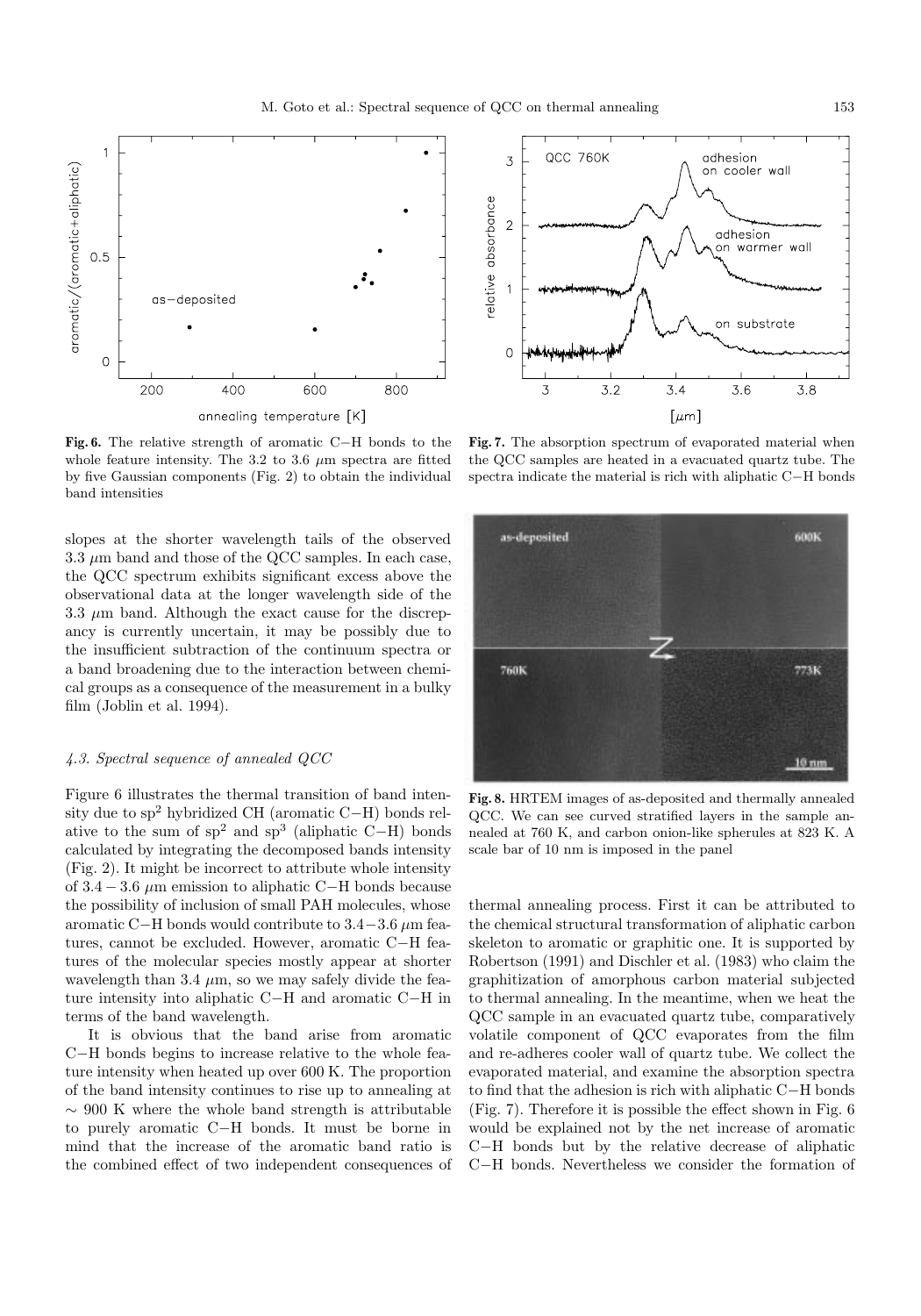

**Fig. 6.** The relative strength of aromatic C−H bonds to the whole feature intensity. The 3.2 to 3.6  $\mu$ m spectra are fitted by five Gaussian components (Fig. 2) to obtain the individual band intensities

slopes at the shorter wavelength tails of the observed  $3.3 \mu$ m band and those of the QCC samples. In each case, the QCC spectrum exhibits significant excess above the observational data at the longer wavelength side of the 3.3  $\mu$ m band. Although the exact cause for the discrepancy is currently uncertain, it may be possibly due to the insufficient subtraction of the continuum spectra or a band broadening due to the interaction between chemical groups as a consequence of the measurement in a bulky film (Joblin et al. 1994).

## 4.3. Spectral sequence of annealed QCC

Figure 6 illustrates the thermal transition of band intensity due to sp<sup>2</sup> hybridized CH (aromatic C−H) bonds relative to the sum of  $sp^2$  and  $sp^3$  (aliphatic C−H) bonds calculated by integrating the decomposed bands intensity (Fig. 2). It might be incorrect to attribute whole intensity of  $3.4 - 3.6 \mu$ m emission to aliphatic C−H bonds because the possibility of inclusion of small PAH molecules, whose aromatic C−H bonds would contribute to  $3.4-3.6 \mu m$  features, cannot be excluded. However, aromatic C−H features of the molecular species mostly appear at shorter wavelength than 3.4  $\mu$ m, so we may safely divide the feature intensity into aliphatic C−H and aromatic C−H in terms of the band wavelength.

It is obvious that the band arise from aromatic C−H bonds begins to increase relative to the whole feature intensity when heated up over 600 K. The proportion of the band intensity continues to rise up to annealing at  $~\sim$  900 K where the whole band strength is attributable to purely aromatic C−H bonds. It must be borne in mind that the increase of the aromatic band ratio is the combined effect of two independent consequences of



**Fig. 7.** The absorption spectrum of evaporated material when the QCC samples are heated in a evacuated quartz tube. The spectra indicate the material is rich with aliphatic C−H bonds



**Fig. 8.** HRTEM images of as-deposited and thermally annealed QCC. We can see curved stratified layers in the sample annealed at 760 K, and carbon onion-like spherules at 823 K. A scale bar of 10 nm is imposed in the panel

thermal annealing process. First it can be attributed to the chemical structural transformation of aliphatic carbon skeleton to aromatic or graphitic one. It is supported by Robertson (1991) and Dischler et al. (1983) who claim the graphitization of amorphous carbon material subjected to thermal annealing. In the meantime, when we heat the QCC sample in an evacuated quartz tube, comparatively volatile component of QCC evaporates from the film and re-adheres cooler wall of quartz tube. We collect the evaporated material, and examine the absorption spectra to find that the adhesion is rich with aliphatic C−H bonds (Fig. 7). Therefore it is possible the effect shown in Fig. 6 would be explained not by the net increase of aromatic C−H bonds but by the relative decrease of aliphatic C−H bonds. Nevertheless we consider the formation of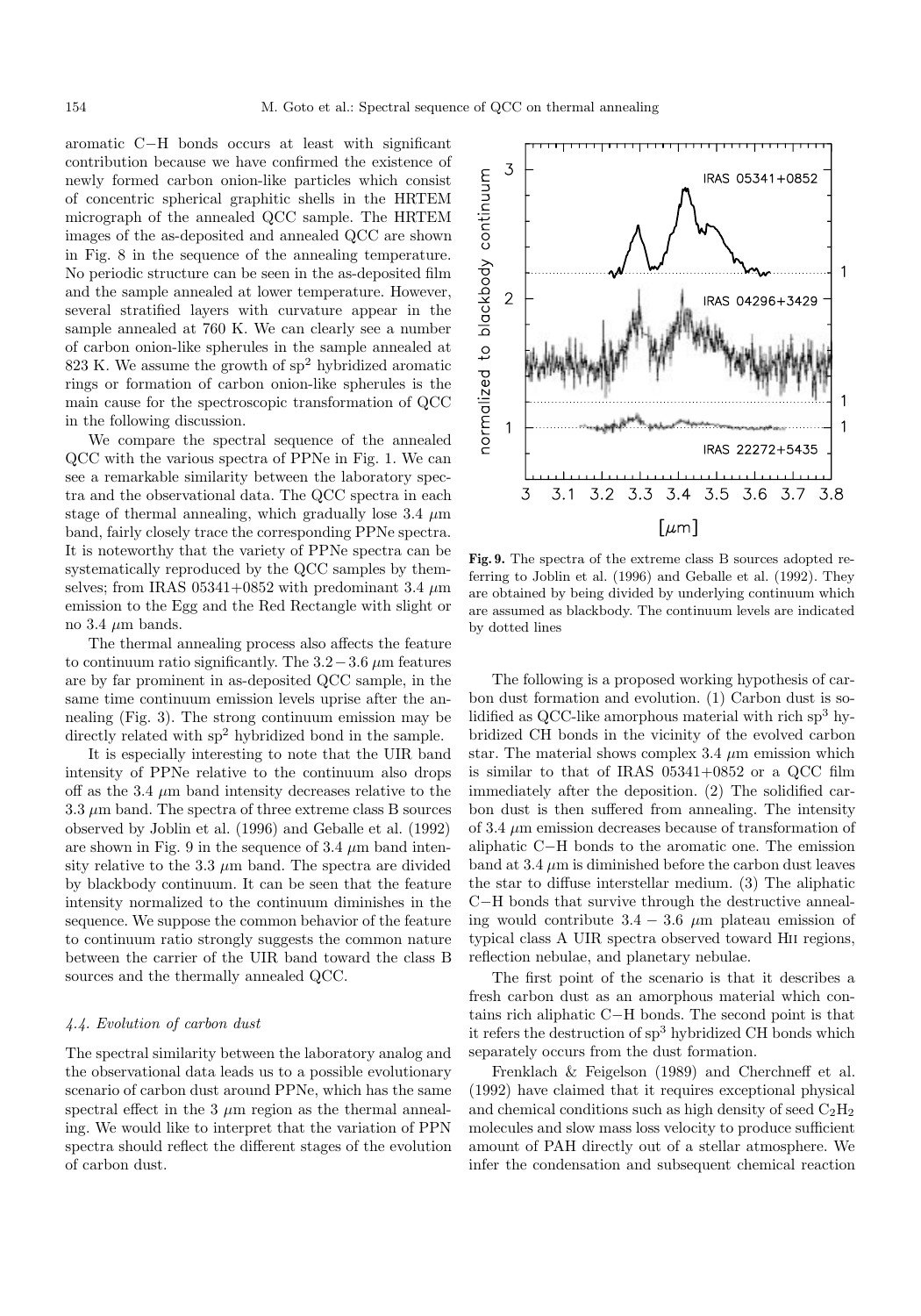aromatic C−H bonds occurs at least with significant contribution because we have confirmed the existence of newly formed carbon onion-like particles which consist of concentric spherical graphitic shells in the HRTEM micrograph of the annealed QCC sample. The HRTEM images of the as-deposited and annealed QCC are shown in Fig. 8 in the sequence of the annealing temperature. No periodic structure can be seen in the as-deposited film and the sample annealed at lower temperature. However, several stratified layers with curvature appear in the sample annealed at 760 K. We can clearly see a number of carbon onion-like spherules in the sample annealed at 823 K. We assume the growth of  $sp<sup>2</sup>$  hybridized aromatic rings or formation of carbon onion-like spherules is the main cause for the spectroscopic transformation of QCC in the following discussion.

We compare the spectral sequence of the annealed QCC with the various spectra of PPNe in Fig. 1. We can see a remarkable similarity between the laboratory spectra and the observational data. The QCC spectra in each stage of thermal annealing, which gradually lose 3.4  $\mu$ m band, fairly closely trace the corresponding PPNe spectra. It is noteworthy that the variety of PPNe spectra can be systematically reproduced by the QCC samples by themselves; from IRAS 05341+0852 with predominant 3.4  $\mu$ m emission to the Egg and the Red Rectangle with slight or no 3.4  $\mu$ m bands.

The thermal annealing process also affects the feature to continuum ratio significantly. The  $3.2-3.6 \mu m$  features are by far prominent in as-deposited QCC sample, in the same time continuum emission levels uprise after the annealing (Fig. 3). The strong continuum emission may be directly related with  $sp^2$  hybridized bond in the sample.

It is especially interesting to note that the UIR band intensity of PPNe relative to the continuum also drops off as the 3.4  $\mu$ m band intensity decreases relative to the  $3.3 \mu$ m band. The spectra of three extreme class B sources observed by Joblin et al. (1996) and Geballe et al. (1992) are shown in Fig. 9 in the sequence of  $3.4 \mu m$  band intensity relative to the 3.3  $\mu$ m band. The spectra are divided by blackbody continuum. It can be seen that the feature intensity normalized to the continuum diminishes in the sequence. We suppose the common behavior of the feature to continuum ratio strongly suggests the common nature between the carrier of the UIR band toward the class B sources and the thermally annealed QCC.

# 4.4. Evolution of carbon dust

The spectral similarity between the laboratory analog and the observational data leads us to a possible evolutionary scenario of carbon dust around PPNe, which has the same spectral effect in the 3  $\mu$ m region as the thermal annealing. We would like to interpret that the variation of PPN spectra should reflect the different stages of the evolution of carbon dust.



**Fig. 9.** The spectra of the extreme class B sources adopted referring to Joblin et al. (1996) and Geballe et al. (1992). They are obtained by being divided by underlying continuum which are assumed as blackbody. The continuum levels are indicated by dotted lines

The following is a proposed working hypothesis of carbon dust formation and evolution. (1) Carbon dust is solidified as QCC-like amorphous material with rich  $sp<sup>3</sup>$  hybridized CH bonds in the vicinity of the evolved carbon star. The material shows complex  $3.4 \mu$ m emission which is similar to that of IRAS 05341+0852 or a QCC film immediately after the deposition. (2) The solidified carbon dust is then suffered from annealing. The intensity of  $3.4 \mu$ m emission decreases because of transformation of aliphatic C−H bonds to the aromatic one. The emission band at  $3.4 \mu m$  is diminished before the carbon dust leaves the star to diffuse interstellar medium. (3) The aliphatic C−H bonds that survive through the destructive annealing would contribute  $3.4 - 3.6 \mu m$  plateau emission of typical class A UIR spectra observed toward Hii regions, reflection nebulae, and planetary nebulae.

The first point of the scenario is that it describes a fresh carbon dust as an amorphous material which contains rich aliphatic C−H bonds. The second point is that it refers the destruction of  ${\rm sp^3}$  hybridized CH bonds which separately occurs from the dust formation.

Frenklach & Feigelson (1989) and Cherchneff et al. (1992) have claimed that it requires exceptional physical and chemical conditions such as high density of seed  $C_2H_2$ molecules and slow mass loss velocity to produce sufficient amount of PAH directly out of a stellar atmosphere. We infer the condensation and subsequent chemical reaction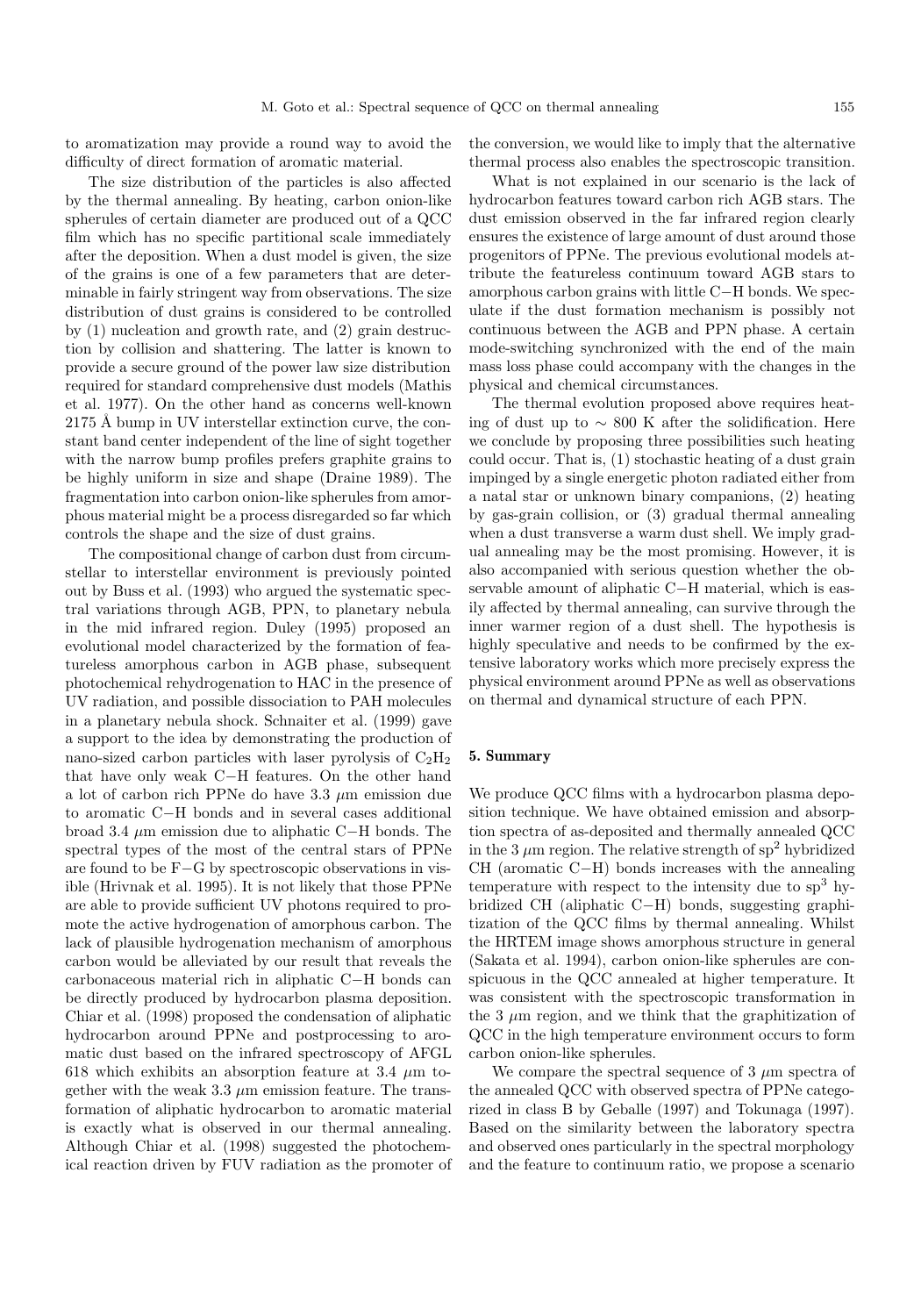to aromatization may provide a round way to avoid the difficulty of direct formation of aromatic material.

The size distribution of the particles is also affected by the thermal annealing. By heating, carbon onion-like spherules of certain diameter are produced out of a QCC film which has no specific partitional scale immediately after the deposition. When a dust model is given, the size of the grains is one of a few parameters that are determinable in fairly stringent way from observations. The size distribution of dust grains is considered to be controlled by (1) nucleation and growth rate, and (2) grain destruction by collision and shattering. The latter is known to provide a secure ground of the power law size distribution required for standard comprehensive dust models (Mathis et al. 1977). On the other hand as concerns well-known 2175 Å bump in UV interstellar extinction curve, the constant band center independent of the line of sight together with the narrow bump profiles prefers graphite grains to be highly uniform in size and shape (Draine 1989). The fragmentation into carbon onion-like spherules from amorphous material might be a process disregarded so far which controls the shape and the size of dust grains.

The compositional change of carbon dust from circumstellar to interstellar environment is previously pointed out by Buss et al. (1993) who argued the systematic spectral variations through AGB, PPN, to planetary nebula in the mid infrared region. Duley (1995) proposed an evolutional model characterized by the formation of featureless amorphous carbon in AGB phase, subsequent photochemical rehydrogenation to HAC in the presence of UV radiation, and possible dissociation to PAH molecules in a planetary nebula shock. Schnaiter et al. (1999) gave a support to the idea by demonstrating the production of nano-sized carbon particles with laser pyrolysis of  $C_2H_2$ that have only weak C−H features. On the other hand a lot of carbon rich PPNe do have  $3.3 \mu$ m emission due to aromatic C−H bonds and in several cases additional broad 3.4 µm emission due to aliphatic C−H bonds. The spectral types of the most of the central stars of PPNe are found to be F−G by spectroscopic observations in visible (Hrivnak et al. 1995). It is not likely that those PPNe are able to provide sufficient UV photons required to promote the active hydrogenation of amorphous carbon. The lack of plausible hydrogenation mechanism of amorphous carbon would be alleviated by our result that reveals the carbonaceous material rich in aliphatic C−H bonds can be directly produced by hydrocarbon plasma deposition. Chiar et al. (1998) proposed the condensation of aliphatic hydrocarbon around PPNe and postprocessing to aromatic dust based on the infrared spectroscopy of AFGL 618 which exhibits an absorption feature at 3.4  $\mu$ m together with the weak 3.3  $\mu$ m emission feature. The transformation of aliphatic hydrocarbon to aromatic material is exactly what is observed in our thermal annealing. Although Chiar et al. (1998) suggested the photochemical reaction driven by FUV radiation as the promoter of the conversion, we would like to imply that the alternative thermal process also enables the spectroscopic transition.

What is not explained in our scenario is the lack of hydrocarbon features toward carbon rich AGB stars. The dust emission observed in the far infrared region clearly ensures the existence of large amount of dust around those progenitors of PPNe. The previous evolutional models attribute the featureless continuum toward AGB stars to amorphous carbon grains with little C−H bonds. We speculate if the dust formation mechanism is possibly not continuous between the AGB and PPN phase. A certain mode-switching synchronized with the end of the main mass loss phase could accompany with the changes in the physical and chemical circumstances.

The thermal evolution proposed above requires heating of dust up to ∼ 800 K after the solidification. Here we conclude by proposing three possibilities such heating could occur. That is, (1) stochastic heating of a dust grain impinged by a single energetic photon radiated either from a natal star or unknown binary companions, (2) heating by gas-grain collision, or (3) gradual thermal annealing when a dust transverse a warm dust shell. We imply gradual annealing may be the most promising. However, it is also accompanied with serious question whether the observable amount of aliphatic C−H material, which is easily affected by thermal annealing, can survive through the inner warmer region of a dust shell. The hypothesis is highly speculative and needs to be confirmed by the extensive laboratory works which more precisely express the physical environment around PPNe as well as observations on thermal and dynamical structure of each PPN.

## **5. Summary**

We produce QCC films with a hydrocarbon plasma deposition technique. We have obtained emission and absorption spectra of as-deposited and thermally annealed QCC in the 3  $\mu$ m region. The relative strength of sp<sup>2</sup> hybridized CH (aromatic C−H) bonds increases with the annealing temperature with respect to the intensity due to  $sp<sup>3</sup>$  hybridized CH (aliphatic C−H) bonds, suggesting graphitization of the QCC films by thermal annealing. Whilst the HRTEM image shows amorphous structure in general (Sakata et al. 1994), carbon onion-like spherules are conspicuous in the QCC annealed at higher temperature. It was consistent with the spectroscopic transformation in the 3  $\mu$ m region, and we think that the graphitization of QCC in the high temperature environment occurs to form carbon onion-like spherules.

We compare the spectral sequence of  $3 \mu m$  spectra of the annealed QCC with observed spectra of PPNe categorized in class B by Geballe (1997) and Tokunaga (1997). Based on the similarity between the laboratory spectra and observed ones particularly in the spectral morphology and the feature to continuum ratio, we propose a scenario